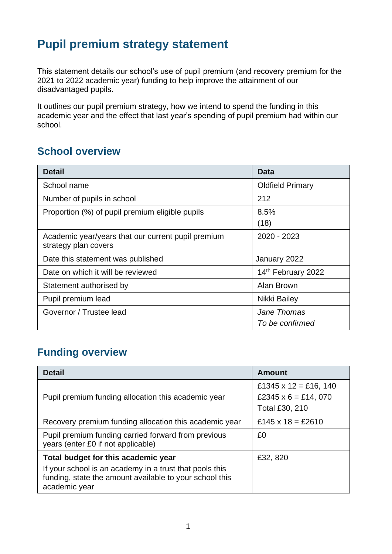## **Pupil premium strategy statement**

This statement details our school's use of pupil premium (and recovery premium for the 2021 to 2022 academic year) funding to help improve the attainment of our disadvantaged pupils.

It outlines our pupil premium strategy, how we intend to spend the funding in this academic year and the effect that last year's spending of pupil premium had within our school.

### **School overview**

| <b>Detail</b>                                                              | <b>Data</b>                    |
|----------------------------------------------------------------------------|--------------------------------|
| School name                                                                | <b>Oldfield Primary</b>        |
| Number of pupils in school                                                 | 212                            |
| Proportion (%) of pupil premium eligible pupils                            | 8.5%<br>(18)                   |
| Academic year/years that our current pupil premium<br>strategy plan covers | 2020 - 2023                    |
| Date this statement was published                                          | January 2022                   |
| Date on which it will be reviewed                                          | 14th February 2022             |
| Statement authorised by                                                    | Alan Brown                     |
| Pupil premium lead                                                         | Nikki Bailey                   |
| Governor / Trustee lead                                                    | Jane Thomas<br>To be confirmed |

### **Funding overview**

| <b>Detail</b>                                                                                                                       | Amount                                                            |
|-------------------------------------------------------------------------------------------------------------------------------------|-------------------------------------------------------------------|
| Pupil premium funding allocation this academic year                                                                                 | £1345 x 12 = £16, 140<br>£2345 $x$ 6 = £14, 070<br>Total £30, 210 |
| Recovery premium funding allocation this academic year                                                                              | £145 x 18 = £2610                                                 |
| Pupil premium funding carried forward from previous<br>years (enter £0 if not applicable)                                           | £0                                                                |
| Total budget for this academic year                                                                                                 | £32, 820                                                          |
| If your school is an academy in a trust that pools this<br>funding, state the amount available to your school this<br>academic year |                                                                   |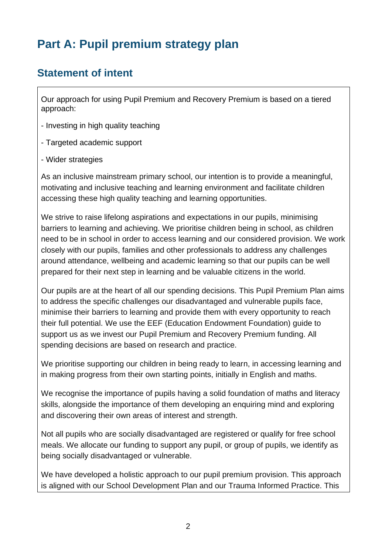# **Part A: Pupil premium strategy plan**

## **Statement of intent**

Our approach for using Pupil Premium and Recovery Premium is based on a tiered approach:

- Investing in high quality teaching
- Targeted academic support
- Wider strategies

As an inclusive mainstream primary school, our intention is to provide a meaningful, motivating and inclusive teaching and learning environment and facilitate children accessing these high quality teaching and learning opportunities.

We strive to raise lifelong aspirations and expectations in our pupils, minimising barriers to learning and achieving. We prioritise children being in school, as children need to be in school in order to access learning and our considered provision. We work closely with our pupils, families and other professionals to address any challenges around attendance, wellbeing and academic learning so that our pupils can be well prepared for their next step in learning and be valuable citizens in the world.

Our pupils are at the heart of all our spending decisions. This Pupil Premium Plan aims to address the specific challenges our disadvantaged and vulnerable pupils face, minimise their barriers to learning and provide them with every opportunity to reach their full potential. We use the EEF (Education Endowment Foundation) guide to support us as we invest our Pupil Premium and Recovery Premium funding. All spending decisions are based on research and practice.

We prioritise supporting our children in being ready to learn, in accessing learning and in making progress from their own starting points, initially in English and maths.

We recognise the importance of pupils having a solid foundation of maths and literacy skills, alongside the importance of them developing an enquiring mind and exploring and discovering their own areas of interest and strength.

Not all pupils who are socially disadvantaged are registered or qualify for free school meals. We allocate our funding to support any pupil, or group of pupils, we identify as being socially disadvantaged or vulnerable.

We have developed a holistic approach to our pupil premium provision. This approach is aligned with our School Development Plan and our Trauma Informed Practice. This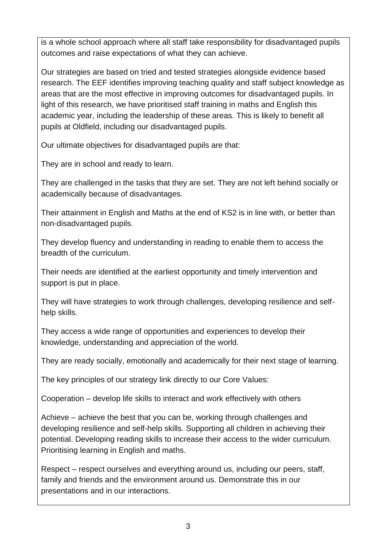is a whole school approach where all staff take responsibility for disadvantaged pupils outcomes and raise expectations of what they can achieve.

Our strategies are based on tried and tested strategies alongside evidence based research. The EEF identifies improving teaching quality and staff subject knowledge as areas that are the most effective in improving outcomes for disadvantaged pupils. In light of this research, we have prioritised staff training in maths and English this academic year, including the leadership of these areas. This is likely to benefit all pupils at Oldfield, including our disadvantaged pupils.

Our ultimate objectives for disadvantaged pupils are that:

They are in school and ready to learn.

They are challenged in the tasks that they are set. They are not left behind socially or academically because of disadvantages.

Their attainment in English and Maths at the end of KS2 is in line with, or better than non-disadvantaged pupils.

They develop fluency and understanding in reading to enable them to access the breadth of the curriculum.

Their needs are identified at the earliest opportunity and timely intervention and support is put in place.

They will have strategies to work through challenges, developing resilience and selfhelp skills.

They access a wide range of opportunities and experiences to develop their knowledge, understanding and appreciation of the world.

They are ready socially, emotionally and academically for their next stage of learning.

The key principles of our strategy link directly to our Core Values:

Cooperation – develop life skills to interact and work effectively with others

Achieve – achieve the best that you can be, working through challenges and developing resilience and self-help skills. Supporting all children in achieving their potential. Developing reading skills to increase their access to the wider curriculum. Prioritising learning in English and maths.

Respect – respect ourselves and everything around us, including our peers, staff, family and friends and the environment around us. Demonstrate this in our presentations and in our interactions.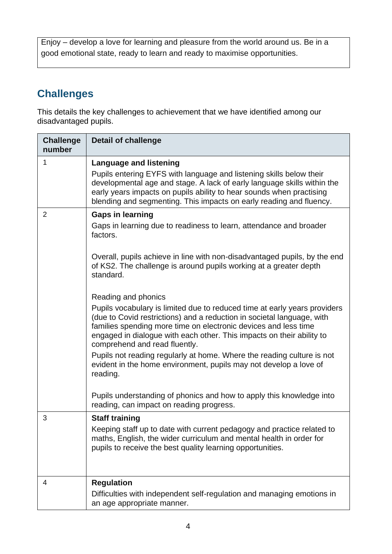Enjoy – develop a love for learning and pleasure from the world around us. Be in a good emotional state, ready to learn and ready to maximise opportunities.

## **Challenges**

This details the key challenges to achievement that we have identified among our disadvantaged pupils.

| <b>Challenge</b><br>number | <b>Detail of challenge</b>                                                                                                                                                                                                                                                                                                                                                                                                                                                                                                                                                                                                                                                                                                                                                                                                                                                                                         |
|----------------------------|--------------------------------------------------------------------------------------------------------------------------------------------------------------------------------------------------------------------------------------------------------------------------------------------------------------------------------------------------------------------------------------------------------------------------------------------------------------------------------------------------------------------------------------------------------------------------------------------------------------------------------------------------------------------------------------------------------------------------------------------------------------------------------------------------------------------------------------------------------------------------------------------------------------------|
| 1                          | <b>Language and listening</b><br>Pupils entering EYFS with language and listening skills below their<br>developmental age and stage. A lack of early language skills within the<br>early years impacts on pupils ability to hear sounds when practising<br>blending and segmenting. This impacts on early reading and fluency.                                                                                                                                                                                                                                                                                                                                                                                                                                                                                                                                                                                     |
| $\overline{2}$             | <b>Gaps in learning</b><br>Gaps in learning due to readiness to learn, attendance and broader<br>factors.<br>Overall, pupils achieve in line with non-disadvantaged pupils, by the end<br>of KS2. The challenge is around pupils working at a greater depth<br>standard.<br>Reading and phonics<br>Pupils vocabulary is limited due to reduced time at early years providers<br>(due to Covid restrictions) and a reduction in societal language, with<br>families spending more time on electronic devices and less time<br>engaged in dialogue with each other. This impacts on their ability to<br>comprehend and read fluently.<br>Pupils not reading regularly at home. Where the reading culture is not<br>evident in the home environment, pupils may not develop a love of<br>reading.<br>Pupils understanding of phonics and how to apply this knowledge into<br>reading, can impact on reading progress. |
| 3                          | <b>Staff training</b><br>Keeping staff up to date with current pedagogy and practice related to<br>maths, English, the wider curriculum and mental health in order for<br>pupils to receive the best quality learning opportunities.                                                                                                                                                                                                                                                                                                                                                                                                                                                                                                                                                                                                                                                                               |
| 4                          | <b>Regulation</b><br>Difficulties with independent self-regulation and managing emotions in<br>an age appropriate manner.                                                                                                                                                                                                                                                                                                                                                                                                                                                                                                                                                                                                                                                                                                                                                                                          |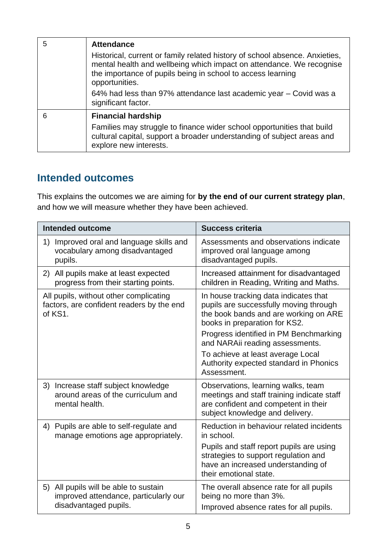| 5 | <b>Attendance</b>                                                                                                                                                                                                                    |
|---|--------------------------------------------------------------------------------------------------------------------------------------------------------------------------------------------------------------------------------------|
|   | Historical, current or family related history of school absence. Anxieties,<br>mental health and wellbeing which impact on attendance. We recognise<br>the importance of pupils being in school to access learning<br>opportunities. |
|   | 64% had less than 97% attendance last academic year – Covid was a<br>significant factor.                                                                                                                                             |
| 6 | <b>Financial hardship</b>                                                                                                                                                                                                            |
|   | Families may struggle to finance wider school opportunities that build<br>cultural capital, support a broader understanding of subject areas and<br>explore new interests.                                                           |

#### **Intended outcomes**

This explains the outcomes we are aiming for **by the end of our current strategy plan**, and how we will measure whether they have been achieved.

| <b>Intended outcome</b>                                                                                 | <b>Success criteria</b>                                                                                                                                                                                                                                                                                                              |  |
|---------------------------------------------------------------------------------------------------------|--------------------------------------------------------------------------------------------------------------------------------------------------------------------------------------------------------------------------------------------------------------------------------------------------------------------------------------|--|
| Improved oral and language skills and<br>1)<br>vocabulary among disadvantaged<br>pupils.                | Assessments and observations indicate<br>improved oral language among<br>disadvantaged pupils.                                                                                                                                                                                                                                       |  |
| 2) All pupils make at least expected<br>progress from their starting points.                            | Increased attainment for disadvantaged<br>children in Reading, Writing and Maths.                                                                                                                                                                                                                                                    |  |
| All pupils, without other complicating<br>factors, are confident readers by the end<br>of KS1.          | In house tracking data indicates that<br>pupils are successfully moving through<br>the book bands and are working on ARE<br>books in preparation for KS2.<br>Progress identified in PM Benchmarking<br>and NARAii reading assessments.<br>To achieve at least average Local<br>Authority expected standard in Phonics<br>Assessment. |  |
| 3) Increase staff subject knowledge<br>around areas of the curriculum and<br>mental health.             | Observations, learning walks, team<br>meetings and staff training indicate staff<br>are confident and competent in their<br>subject knowledge and delivery.                                                                                                                                                                          |  |
| Pupils are able to self-regulate and<br>4)<br>manage emotions age appropriately.                        | Reduction in behaviour related incidents<br>in school.<br>Pupils and staff report pupils are using<br>strategies to support regulation and<br>have an increased understanding of<br>their emotional state.                                                                                                                           |  |
| 5) All pupils will be able to sustain<br>improved attendance, particularly our<br>disadvantaged pupils. | The overall absence rate for all pupils<br>being no more than 3%.<br>Improved absence rates for all pupils.                                                                                                                                                                                                                          |  |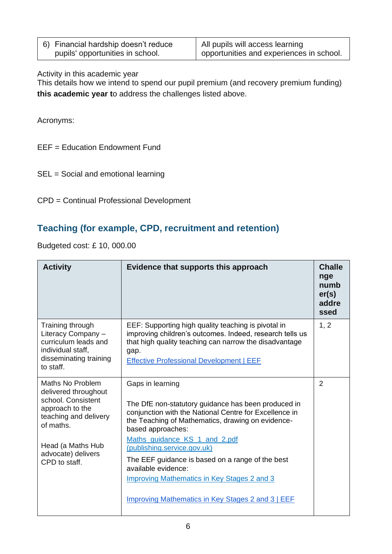| 6) Financial hardship doesn't reduce | All pupils will access learning          |
|--------------------------------------|------------------------------------------|
| pupils' opportunities in school.     | opportunities and experiences in school. |

Activity in this academic year

This details how we intend to spend our pupil premium (and recovery premium funding) **this academic year t**o address the challenges listed above.

Acronyms:

EEF = Education Endowment Fund

- SEL = Social and emotional learning
- CPD = Continual Professional Development

#### **Teaching (for example, CPD, recruitment and retention)**

Budgeted cost: £ 10, 000.00

| <b>Activity</b>                                                                                                                                                                     | Evidence that supports this approach                                                                                                                                                                                                                                                                                                                                                                                                                                     | <b>Challe</b><br>nge<br>numb<br>er(s)<br>addre<br>ssed |
|-------------------------------------------------------------------------------------------------------------------------------------------------------------------------------------|--------------------------------------------------------------------------------------------------------------------------------------------------------------------------------------------------------------------------------------------------------------------------------------------------------------------------------------------------------------------------------------------------------------------------------------------------------------------------|--------------------------------------------------------|
| Training through<br>Literacy Company -<br>curriculum leads and<br>individual staff,<br>disseminating training<br>to staff.                                                          | EEF: Supporting high quality teaching is pivotal in<br>improving children's outcomes. Indeed, research tells us<br>that high quality teaching can narrow the disadvantage<br>gap.<br><b>Effective Professional Development   EEF</b>                                                                                                                                                                                                                                     | 1, 2                                                   |
| Maths No Problem<br>delivered throughout<br>school. Consistent<br>approach to the<br>teaching and delivery<br>of maths.<br>Head (a Maths Hub<br>advocate) delivers<br>CPD to staff. | Gaps in learning<br>The DfE non-statutory guidance has been produced in<br>conjunction with the National Centre for Excellence in<br>the Teaching of Mathematics, drawing on evidence-<br>based approaches:<br>Maths_guidance_KS_1_and_2.pdf<br>(publishing.service.gov.uk)<br>The EEF guidance is based on a range of the best<br>available evidence:<br><b>Improving Mathematics in Key Stages 2 and 3</b><br><b>Improving Mathematics in Key Stages 2 and 3   EEF</b> | $\overline{2}$                                         |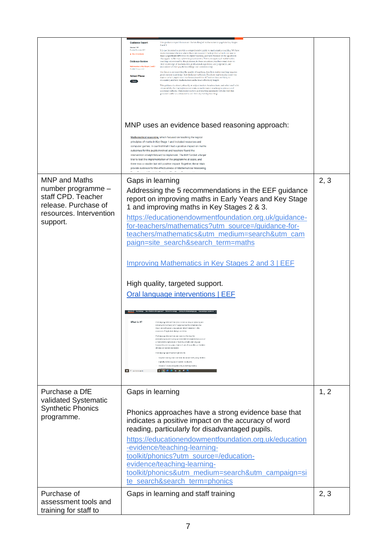|                                                                                                                                 | <b>Guidance Report</b><br>This guidance report focuses on the teaching of mathematics to pupils in Key Stage<br>2 and 3.<br>Version 1.0<br><b>Packfiel 28 service 2017</b><br>It is not intended to provide a comprehensive guide to mathematics teaching. We have<br>made recommendations where there are research findings that schools can use to<br>± Wew Downloads<br>make a significant difference to pupils' learning, and have focused on the questions<br>that appear to be most safient to practitioners. There are aspects of mathematics<br>teaching not covered by this guidance. In these situations, teachers must draw on<br><b>Evidence Review</b><br>their imoviedge of mathematics, professional experience and judgement, and<br>Mathematics in Key Stages 2 and 3<br>assessment of their nunits' knowledge and understanding<br>Parented 15 August 2013<br>The focus is on improving the quality of teaching. Excellent maths teaching requires<br>good content knowledge, but this is not sufficient. Excellent teachers also know the<br><b>School Phase</b><br>ways in which pupils learn mathematics and the difficulties they are likely to<br>encounter, and how mathematics can be most effectively taught.<br><b>Bitman</b><br>This guidance is aimed primarily at subject leaders, headteachers, and other staff with<br>responsibility for leading improvements in mathematics teaching in primary and<br>secondary schools. Classroom teachers and teaching assistants will also find this<br>guidance useful as a resource to aid their day-to-day teaching.<br>MNP uses an evidence based reasoning approach:<br>Mathematical reasoning, which focused on teaching the logical<br>principles of maths in Key Stage 1 and included resources and<br>computer games. In our first trial it had a positive impact on maths<br>outcomes for the pupils involved and teachers found the<br>intervention straightforward to implement. The EEF funded a large |      |
|---------------------------------------------------------------------------------------------------------------------------------|-------------------------------------------------------------------------------------------------------------------------------------------------------------------------------------------------------------------------------------------------------------------------------------------------------------------------------------------------------------------------------------------------------------------------------------------------------------------------------------------------------------------------------------------------------------------------------------------------------------------------------------------------------------------------------------------------------------------------------------------------------------------------------------------------------------------------------------------------------------------------------------------------------------------------------------------------------------------------------------------------------------------------------------------------------------------------------------------------------------------------------------------------------------------------------------------------------------------------------------------------------------------------------------------------------------------------------------------------------------------------------------------------------------------------------------------------------------------------------------------------------------------------------------------------------------------------------------------------------------------------------------------------------------------------------------------------------------------------------------------------------------------------------------------------------------------------------------------------------------------------------------------------------------------------------------------------------------------------------------------|------|
|                                                                                                                                 | trial to test the implementation of the programme at scale, and<br>there was a smaller but still positive impact. Together, these trials<br>provide evidence for the effectiveness of Mathematical Reasoning                                                                                                                                                                                                                                                                                                                                                                                                                                                                                                                                                                                                                                                                                                                                                                                                                                                                                                                                                                                                                                                                                                                                                                                                                                                                                                                                                                                                                                                                                                                                                                                                                                                                                                                                                                              |      |
| <b>MNP</b> and Maths<br>number programme -<br>staff CPD. Teacher<br>release. Purchase of<br>resources. Intervention<br>support. | Gaps in learning<br>Addressing the 5 recommendations in the EEF guidance<br>report on improving maths in Early Years and Key Stage<br>1 and improving maths in Key Stages 2 & 3.<br>https://educationendowmentfoundation.org.uk/guidance-<br>for-teachers/mathematics?utm_source=/guidance-for-<br>teachers/mathematics&utm_medium=search&utm_cam<br>paign=site_search&search_term=maths<br><b>Improving Mathematics in Key Stages 2 and 3   EEF</b><br>High quality, targeted support.<br>Oral language interventions   EEF<br>What is it?<br>Ouillanguage interventions (also known as cracy or speaking an<br>istening interventions) refer to approaches that emphasise th<br>importance of spoken language and verbal interaction in th<br>cisseroon. They include dialogic activities<br>Oral language interventions are based on the loss that<br>comperhension and reading skills benefit from explicit discussion a<br>either content or processes of learning, or both, oral language<br>interventions aim to support learners' use of vocaculary, anticulation<br>of iceas and spoken expression<br>Dat language approaches might include:<br>thegeted reading abud and book discussion with young children<br>eiglicity edencing pupils' socker vocabulary.<br>the use of structured questioning to develop reading<br><b>ROVERN</b><br>$\Box$ $\beta$ -galaxiesseds                                                                                                                                                                                                                                                                                                                                                                                                                                                                                                                                                                                                          | 2, 3 |
| Purchase a DfE                                                                                                                  | Gaps in learning                                                                                                                                                                                                                                                                                                                                                                                                                                                                                                                                                                                                                                                                                                                                                                                                                                                                                                                                                                                                                                                                                                                                                                                                                                                                                                                                                                                                                                                                                                                                                                                                                                                                                                                                                                                                                                                                                                                                                                          | 1, 2 |
| validated Systematic<br><b>Synthetic Phonics</b><br>programme.                                                                  | Phonics approaches have a strong evidence base that<br>indicates a positive impact on the accuracy of word<br>reading, particularly for disadvantaged pupils.<br>https://educationendowmentfoundation.org.uk/education<br>-evidence/teaching-learning-<br>toolkit/phonics?utm_source=/education-<br>evidence/teaching-learning-<br>toolkit/phonics&utm_medium=search&utm_campaign=si<br>te search&search term=phonics                                                                                                                                                                                                                                                                                                                                                                                                                                                                                                                                                                                                                                                                                                                                                                                                                                                                                                                                                                                                                                                                                                                                                                                                                                                                                                                                                                                                                                                                                                                                                                     |      |
| Purchase of                                                                                                                     | Gaps in learning and staff training                                                                                                                                                                                                                                                                                                                                                                                                                                                                                                                                                                                                                                                                                                                                                                                                                                                                                                                                                                                                                                                                                                                                                                                                                                                                                                                                                                                                                                                                                                                                                                                                                                                                                                                                                                                                                                                                                                                                                       | 2, 3 |
| assessment tools and<br>training for staff to                                                                                   |                                                                                                                                                                                                                                                                                                                                                                                                                                                                                                                                                                                                                                                                                                                                                                                                                                                                                                                                                                                                                                                                                                                                                                                                                                                                                                                                                                                                                                                                                                                                                                                                                                                                                                                                                                                                                                                                                                                                                                                           |      |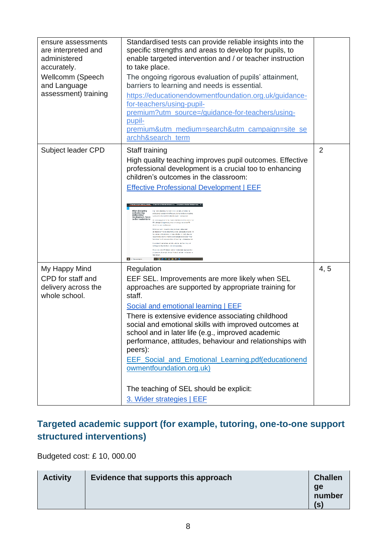| ensure assessments<br>are interpreted and<br>administered<br>accurately.   | Standardised tests can provide reliable insights into the<br>specific strengths and areas to develop for pupils, to<br>enable targeted intervention and / or teacher instruction<br>to take place.                                                                                                                                                                                                                                                                                                                                                                                                                                                                                                                                                                                 |                |
|----------------------------------------------------------------------------|------------------------------------------------------------------------------------------------------------------------------------------------------------------------------------------------------------------------------------------------------------------------------------------------------------------------------------------------------------------------------------------------------------------------------------------------------------------------------------------------------------------------------------------------------------------------------------------------------------------------------------------------------------------------------------------------------------------------------------------------------------------------------------|----------------|
| Wellcomm (Speech<br>and Language                                           | The ongoing rigorous evaluation of pupils' attainment,<br>barriers to learning and needs is essential.                                                                                                                                                                                                                                                                                                                                                                                                                                                                                                                                                                                                                                                                             |                |
| assessment) training                                                       | https://educationendowmentfoundation.org.uk/guidance-<br>for-teachers/using-pupil-<br>premium?utm_source=/guidance-for-teachers/using-<br>pupil-<br>premium&utm_medium=search&utm_campaign=site_se<br>archh&search term                                                                                                                                                                                                                                                                                                                                                                                                                                                                                                                                                            |                |
| Subject leader CPD                                                         | Staff training                                                                                                                                                                                                                                                                                                                                                                                                                                                                                                                                                                                                                                                                                                                                                                     | $\overline{2}$ |
|                                                                            | High quality teaching improves pupil outcomes. Effective<br>professional development is a crucial too to enhancing<br>children's outcomes in the classroom:<br><b>Effective Professional Development   EEF</b>                                                                                                                                                                                                                                                                                                                                                                                                                                                                                                                                                                     |                |
|                                                                            | When designing<br>and selecting<br>professional cercic privaril offers a enterial tool to develop teach in<br>and selecting<br>professional<br>development, focus = native defensation do to maxis texts on:<br>To account planning exists disclose and the solar<br>PE is designed, in perticular, these who design and pelectiffs<br>foreforment. They are observed a, can be replicated, and could not<br>allentinsk in FC are effective Considy they are<br>upported by cylcente from research on human behaviour-they<br>and monotabound wat in column part<br>benfracerien addersining da bering as<br>ieting, providing foedback, and action planning.<br>se who solder. PD should look for mechanisms in prospectiv-<br>capamino, those who design PO dends include method |                |
|                                                                            | E 2 Savonno                                                                                                                                                                                                                                                                                                                                                                                                                                                                                                                                                                                                                                                                                                                                                                        |                |
| My Happy Mind<br>CPD for staff and<br>delivery across the<br>whole school. | Regulation<br>EEF SEL. Improvements are more likely when SEL<br>approaches are supported by appropriate training for<br>staff.                                                                                                                                                                                                                                                                                                                                                                                                                                                                                                                                                                                                                                                     | 4, 5           |
|                                                                            | Social and emotional learning   EEF<br>There is extensive evidence associating childhood<br>social and emotional skills with improved outcomes at<br>school and in later life (e.g., improved academic<br>performance, attitudes, behaviour and relationships with<br>peers):<br>EEF_Social_and_Emotional_Learning.pdf(educationend<br>owmentfoundation.org.uk)                                                                                                                                                                                                                                                                                                                                                                                                                    |                |
|                                                                            |                                                                                                                                                                                                                                                                                                                                                                                                                                                                                                                                                                                                                                                                                                                                                                                    |                |
|                                                                            | The teaching of SEL should be explicit:<br>3. Wider strategies   EEF                                                                                                                                                                                                                                                                                                                                                                                                                                                                                                                                                                                                                                                                                                               |                |
|                                                                            |                                                                                                                                                                                                                                                                                                                                                                                                                                                                                                                                                                                                                                                                                                                                                                                    |                |

## **Targeted academic support (for example, tutoring, one-to-one support structured interventions)**

Budgeted cost: £ 10, 000.00

| <b>Activity</b> | Evidence that supports this approach | <b>Challen</b><br>ge<br>number |
|-----------------|--------------------------------------|--------------------------------|
|                 |                                      | (S)                            |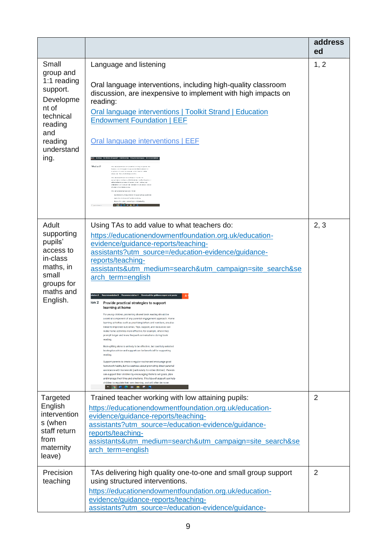|                                                                                                                                     |                                                                                                                                                                                                                                                                                                                                                                                                                                                                                                                                                                                                                                                                                                                                                                                                                                                                                                                                                                                                                                                                                                                                                                                                                                                                                                                                                                                                                                               | address<br>ed  |
|-------------------------------------------------------------------------------------------------------------------------------------|-----------------------------------------------------------------------------------------------------------------------------------------------------------------------------------------------------------------------------------------------------------------------------------------------------------------------------------------------------------------------------------------------------------------------------------------------------------------------------------------------------------------------------------------------------------------------------------------------------------------------------------------------------------------------------------------------------------------------------------------------------------------------------------------------------------------------------------------------------------------------------------------------------------------------------------------------------------------------------------------------------------------------------------------------------------------------------------------------------------------------------------------------------------------------------------------------------------------------------------------------------------------------------------------------------------------------------------------------------------------------------------------------------------------------------------------------|----------------|
| Small<br>group and<br>1:1 reading<br>support.<br>Developme<br>nt of<br>technical<br>reading<br>and<br>reading<br>understand<br>ing. | Language and listening<br>Oral language interventions, including high-quality classroom<br>discussion, are inexpensive to implement with high impacts on<br>reading:<br><b>Oral language interventions   Toolkit Strand   Education</b><br><b>Endowment Foundation   EEF</b><br>Oral language interventions   EEF<br>unio the approach? Entred the severage - Closing the disease straight pain-<br>What is it?<br>to annual sitema con contactor and couple room<br>Ligency, a evening since is accurated interest<br>importance of known aroundedness vecanities to the<br>faceous to the pint be data positions<br>Our permane interventions are treasured the design<br>in extracting stricter at them anticiation<br>when content or processes of teamers, or outs, and hanguage<br>chemistrix anticompution hed send scalcley, a contra<br>those and sedemon exists.<br>largeted reading cloud and beek discuss on with young shilt me<br>equilibries or the gasolic spuller sessionary.<br>the use of structures quest or the to develop reaching<br><b>BROSHAM</b><br>2 Averages (                                                                                                                                                                                                                                                                                                                                                    | 1, 2           |
| Adult<br>supporting<br>pupils'<br>access to<br>in-class<br>maths, in<br>small<br>groups for<br>maths and<br>English.                | Using TAs to add value to what teachers do:<br>https://educationendowmentfoundation.org.uk/education-<br>evidence/guidance-reports/teaching-<br>assistants?utm_source=/education-evidence/guidance-<br>reports/teaching-<br>assistants&utm_medium=search&utm_campaign=site_search&se<br>arch term=english<br>Download the guidance report and poste<br>ion 2 Provide practical strategies to support<br>learning at home<br>For young children, promoting shared book reading should be<br>a central component of any parental engagement approach. Home<br>learning activities such as practising letters and numbers, are also<br>linked to improved outcomes. Tips, support, and resources can<br>make home activities more effective, for example, where they<br>prompt longer and more frequent conversations during book<br>reading<br>Book-gifting alone is unlikely to be effective, but carefully selected<br>books plus advice and support can be beneficial for supporting<br>reading<br>Support parents to create a regular routine and encourage good<br>homework habits, but be cautious about promoting direct parental<br>assistance with homework (particularly for older children). Parents<br>can support their children by encouraging them to set goals, plan<br>and manage their time and emotions. This type of support can help<br>children to regulate their own learning, and will often be more<br><b>HOECOMSN</b> | 2, 3           |
| Targeted<br>English<br>intervention<br>s (when<br>staff return<br>from<br>maternity<br>leave)                                       | Trained teacher working with low attaining pupils:<br>https://educationendowmentfoundation.org.uk/education-<br>evidence/guidance-reports/teaching-<br>assistants?utm_source=/education-evidence/guidance-<br>reports/teaching-<br>assistants&utm_medium=search&utm_campaign=site_search&se<br>arch term=english                                                                                                                                                                                                                                                                                                                                                                                                                                                                                                                                                                                                                                                                                                                                                                                                                                                                                                                                                                                                                                                                                                                              | $\overline{2}$ |
| Precision<br>teaching                                                                                                               | TAs delivering high quality one-to-one and small group support<br>using structured interventions.<br>https://educationendowmentfoundation.org.uk/education-<br>evidence/guidance-reports/teaching-<br>assistants?utm_source=/education-evidence/guidance-                                                                                                                                                                                                                                                                                                                                                                                                                                                                                                                                                                                                                                                                                                                                                                                                                                                                                                                                                                                                                                                                                                                                                                                     | 2              |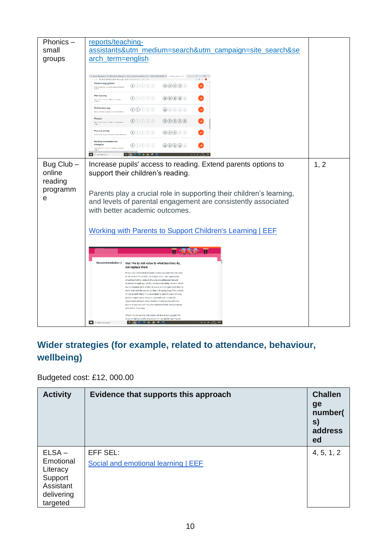

#### **Wider strategies (for example, related to attendance, behaviour, wellbeing)**

#### Budgeted cost: £12, 000.00

| <b>Activity</b>                                                                     | Evidence that supports this approach            | <b>Challen</b><br>ge<br>number(<br>s)<br>address<br>ed |
|-------------------------------------------------------------------------------------|-------------------------------------------------|--------------------------------------------------------|
| $ELSA -$<br>Emotional<br>Literacy<br>Support<br>Assistant<br>delivering<br>targeted | EFF SEL:<br>Social and emotional learning   EEF | 4, 5, 1, 2                                             |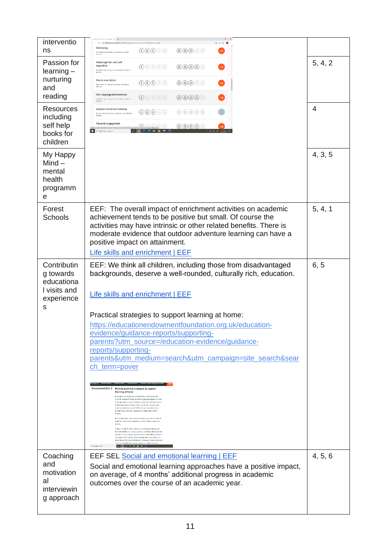| interventio                                               | Northy and Earthy Section (1980) 4<br>> @ a educationandownertfoundation.org/lifeducation-enderecitesching-learning<br>Mentoring                                                                                                                                                                                                                   |         |  |  |  |
|-----------------------------------------------------------|----------------------------------------------------------------------------------------------------------------------------------------------------------------------------------------------------------------------------------------------------------------------------------------------------------------------------------------------------|---------|--|--|--|
| ns                                                        | $\circledcirc\circledcirc\circledcirc$<br>$\mathfrak{g}_\mathfrak{b}(\mathfrak{g})(\mathfrak{g})(\mathfrak{g})(\mathfrak{g})$<br>$+2$<br>Low impact for moderate cost based on moderate<br>avidence                                                                                                                                                |         |  |  |  |
| Passion for<br>$learning -$                               | Metacognition and self-<br>regulation<br>$\bigoplus$ (i) $\bigoplus$ (i) $\bigoplus$<br>$\circledcirc\circledcirc\circ$<br>$+7$<br>Very high impact for very lew cost based on extensive<br>exclence                                                                                                                                               | 5, 4, 2 |  |  |  |
| nurturing<br>and                                          | One to one tuition<br>$\bigcirc$ $\bigcirc$ $\bigcirc$ $\bigcirc$ $\bigcirc$<br>$\circledcirc\circledcirc\circledcirc$<br>$+5$<br>High impact for moderate cost based on intriestal                                                                                                                                                                |         |  |  |  |
| reading                                                   | Oral language interventions<br>$\bigcirc$ $\bigcirc$ $\bigcirc$ $\bigcirc$ $\bigcirc$<br>$\circledcirc \circledcirc \circledcirc$<br>$+6$<br>Very high impact for wey have continueed on sector wit                                                                                                                                                |         |  |  |  |
| <b>Resources</b><br>including                             | Outdoor adventure learning<br>$\bigoplus \bigoplus \bigoplus \bigoplus \bigoplus$<br>෧෧෧෧෧<br>Unclear impact for mediatete cost based on thsufficient                                                                                                                                                                                              | 4       |  |  |  |
| self help                                                 | Parental engagement<br>$\bigcirc$ $\bigcirc$ $\bigcirc$ $\bigcirc$ $\bigcirc$<br>@@@@@<br>A Type here to search                                                                                                                                                                                                                                    |         |  |  |  |
| books for<br>children                                     |                                                                                                                                                                                                                                                                                                                                                    |         |  |  |  |
| My Happy<br>$Mind -$<br>mental<br>health<br>programm<br>е |                                                                                                                                                                                                                                                                                                                                                    | 4, 3, 5 |  |  |  |
| Forest<br><b>Schools</b>                                  | EEF: The overall impact of enrichment activities on academic<br>achievement tends to be positive but small. Of course the<br>activities may have intrinsic or other related benefits. There is<br>moderate evidence that outdoor adventure learning can have a<br>positive impact on attainment.<br>Life skills and enrichment   EEF               | 5, 4, 1 |  |  |  |
| Contributin                                               |                                                                                                                                                                                                                                                                                                                                                    |         |  |  |  |
| g towards<br>educationa<br>I visits and<br>experience     | EEF: We think all children, including those from disadvantaged<br>6, 5<br>backgrounds, deserve a well-rounded, culturally rich, education.<br>Life skills and enrichment   EEF                                                                                                                                                                     |         |  |  |  |
| s                                                         | Practical strategies to support learning at home:                                                                                                                                                                                                                                                                                                  |         |  |  |  |
|                                                           | https://educationendowmentfoundation.org.uk/education-<br>evidence/guidance-reports/supporting-<br>parents?utm_source=/education-evidence/guidance-<br>reports/supporting-<br>parents&utm_medium=search&utm_campaign=site_search&sear<br><u>ch_term=pover</u>                                                                                      |         |  |  |  |
|                                                           |                                                                                                                                                                                                                                                                                                                                                    |         |  |  |  |
|                                                           |                                                                                                                                                                                                                                                                                                                                                    |         |  |  |  |
|                                                           |                                                                                                                                                                                                                                                                                                                                                    |         |  |  |  |
|                                                           |                                                                                                                                                                                                                                                                                                                                                    |         |  |  |  |
|                                                           | Recommendation 2 Provide practical strategies to support<br>learning at home<br>For young children, grounding shared book reading the life be-<br>a contrat component of any perchilal origagement approach. Home<br>learning echilities with as aractising effect and numbers, are also                                                           |         |  |  |  |
|                                                           | fried to improved outcomes. This, support, and reasoness can<br>make home aptikities more effective, for example, where they<br>prompt langer and more frequent conversations during book<br>rezeine.<br>Book-gifting alone is unlikely to be effective, out canchally acleated                                                                    |         |  |  |  |
|                                                           | books plut advice and suggest can be beneficial for supporting<br>maring<br>Support parents to create a regular routine and encourage good                                                                                                                                                                                                         |         |  |  |  |
|                                                           | homework babits, but be cautious about prompting direct perenal<br>assistence with homework (particularly for clder children). Parents<br>can support their children by encouraging them to set goals, plan<br>and manage their time and emations. This type of support can help<br>objetive formulate their cost loanting, and will often be more |         |  |  |  |
| Coaching                                                  | <b>SPECKERS</b><br>Diffuse between commer-<br>EEF SEL Social and emotional learning   EEF                                                                                                                                                                                                                                                          | 4, 5, 6 |  |  |  |
| and                                                       | Social and emotional learning approaches have a positive impact,                                                                                                                                                                                                                                                                                   |         |  |  |  |
| motivation<br>al                                          | on average, of 4 months' additional progress in academic                                                                                                                                                                                                                                                                                           |         |  |  |  |
| interviewin                                               | outcomes over the course of an academic year.                                                                                                                                                                                                                                                                                                      |         |  |  |  |
| g approach                                                |                                                                                                                                                                                                                                                                                                                                                    |         |  |  |  |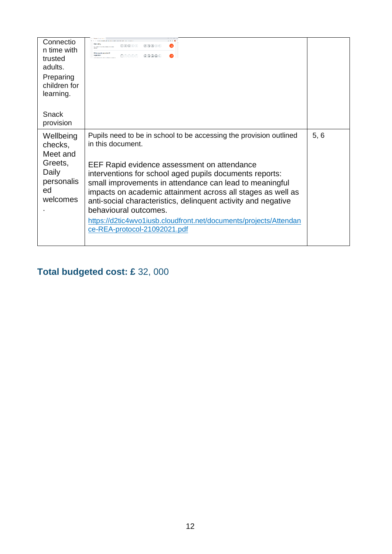| Connectio<br>n time with<br>trusted<br>adults.<br>Preparing<br>children for<br>learning. | @@@@@@@<br>©®®©©<br>tor control publications of the set<br>Meteorophism and self-<br>@@@@@<br>regulation<br>@@@@@                                                                                                                                                                                                                                                                                                                                                                                                          |      |
|------------------------------------------------------------------------------------------|----------------------------------------------------------------------------------------------------------------------------------------------------------------------------------------------------------------------------------------------------------------------------------------------------------------------------------------------------------------------------------------------------------------------------------------------------------------------------------------------------------------------------|------|
| Snack<br>provision                                                                       |                                                                                                                                                                                                                                                                                                                                                                                                                                                                                                                            |      |
| Wellbeing<br>checks,<br>Meet and<br>Greets,<br>Daily<br>personalis<br>ed<br>welcomes     | Pupils need to be in school to be accessing the provision outlined<br>in this document.<br>EEF Rapid evidence assessment on attendance<br>interventions for school aged pupils documents reports:<br>small improvements in attendance can lead to meaningful<br>impacts on academic attainment across all stages as well as<br>anti-social characteristics, delinquent activity and negative<br>behavioural outcomes.<br>https://d2tic4wvo1iusb.cloudfront.net/documents/projects/Attendan<br>ce-REA-protocol-21092021.pdf | 5, 6 |

## **Total budgeted cost: £** 32, 000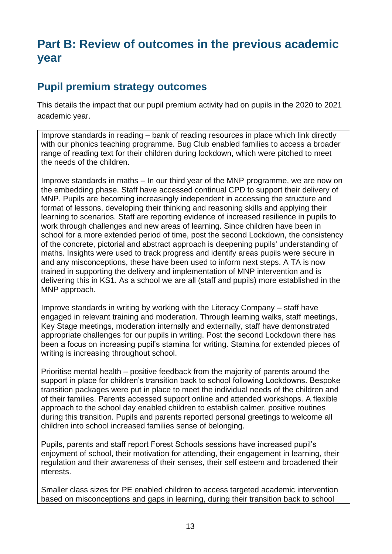## **Part B: Review of outcomes in the previous academic year**

### **Pupil premium strategy outcomes**

This details the impact that our pupil premium activity had on pupils in the 2020 to 2021 academic year.

Improve standards in reading – bank of reading resources in place which link directly with our phonics teaching programme. Bug Club enabled families to access a broader range of reading text for their children during lockdown, which were pitched to meet the needs of the children.

Improve standards in maths – In our third year of the MNP programme, we are now on the embedding phase. Staff have accessed continual CPD to support their delivery of MNP. Pupils are becoming increasingly independent in accessing the structure and format of lessons, developing their thinking and reasoning skills and applying their learning to scenarios. Staff are reporting evidence of increased resilience in pupils to work through challenges and new areas of learning. Since children have been in school for a more extended period of time, post the second Lockdown, the consistency of the concrete, pictorial and abstract approach is deepening pupils' understanding of maths. Insights were used to track progress and identify areas pupils were secure in and any misconceptions, these have been used to inform next steps. A TA is now trained in supporting the delivery and implementation of MNP intervention and is delivering this in KS1. As a school we are all (staff and pupils) more established in the MNP approach.

Improve standards in writing by working with the Literacy Company – staff have engaged in relevant training and moderation. Through learning walks, staff meetings, Key Stage meetings, moderation internally and externally, staff have demonstrated appropriate challenges for our pupils in writing. Post the second Lockdown there has been a focus on increasing pupil's stamina for writing. Stamina for extended pieces of writing is increasing throughout school.

Prioritise mental health – positive feedback from the majority of parents around the support in place for children's transition back to school following Lockdowns. Bespoke transition packages were put in place to meet the individual needs of the children and of their families. Parents accessed support online and attended workshops. A flexible approach to the school day enabled children to establish calmer, positive routines during this transition. Pupils and parents reported personal greetings to welcome all children into school increased families sense of belonging.

Pupils, parents and staff report Forest Schools sessions have increased pupil's enjoyment of school, their motivation for attending, their engagement in learning, their regulation and their awareness of their senses, their self esteem and broadened their nterests.

Smaller class sizes for PE enabled children to access targeted academic intervention based on misconceptions and gaps in learning, during their transition back to school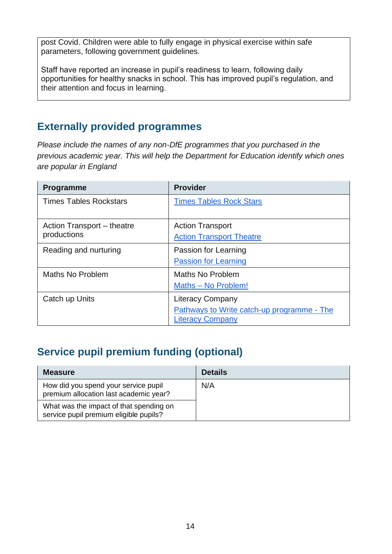post Covid. Children were able to fully engage in physical exercise within safe parameters, following government guidelines.

Staff have reported an increase in pupil's readiness to learn, following daily opportunities for healthy snacks in school. This has improved pupil's regulation, and their attention and focus in learning.

### **Externally provided programmes**

*Please include the names of any non-DfE programmes that you purchased in the previous academic year. This will help the Department for Education identify which ones are popular in England*

| <b>Programme</b>              | <b>Provider</b>                            |
|-------------------------------|--------------------------------------------|
| <b>Times Tables Rockstars</b> | <b>Times Tables Rock Stars</b>             |
| Action Transport – theatre    | <b>Action Transport</b>                    |
| productions                   | <b>Action Transport Theatre</b>            |
| Reading and nurturing         | Passion for Learning                       |
|                               | <b>Passion for Learning</b>                |
| Maths No Problem              | Maths No Problem                           |
|                               | Maths - No Problem!                        |
| Catch up Units                | <b>Literacy Company</b>                    |
|                               | Pathways to Write catch-up programme - The |
|                               | <b>Literacy Company</b>                    |

## **Service pupil premium funding (optional)**

| <b>Measure</b>                                                                    | <b>Details</b> |
|-----------------------------------------------------------------------------------|----------------|
| How did you spend your service pupil<br>premium allocation last academic year?    | N/A            |
| What was the impact of that spending on<br>service pupil premium eligible pupils? |                |